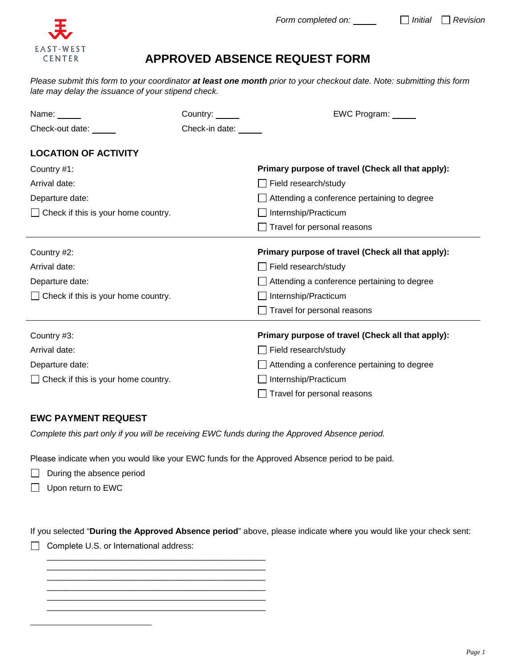

## **APPROVED ABSENCE REQUEST FORM**

*Please submit this form to your coordinator at least one month prior to your checkout date. Note: submitting this form late may delay the issuance of your stipend check.*

| Name: $\_\_$                               | Country:       | EWC Program: _____                                |
|--------------------------------------------|----------------|---------------------------------------------------|
| Check-out date: _____                      | Check-in date: |                                                   |
| <b>LOCATION OF ACTIVITY</b>                |                |                                                   |
| Country #1:                                |                | Primary purpose of travel (Check all that apply): |
| Arrival date:                              |                | Field research/study                              |
| Departure date:                            |                | Attending a conference pertaining to degree       |
| $\Box$ Check if this is your home country. |                | Internship/Practicum                              |
|                                            |                | Travel for personal reasons                       |
| Country #2:                                |                | Primary purpose of travel (Check all that apply): |
| Arrival date:                              |                | Field research/study                              |
| Departure date:                            |                | Attending a conference pertaining to degree       |
| $\Box$ Check if this is your home country. |                | Internship/Practicum                              |
|                                            |                | Travel for personal reasons                       |
| Country #3:                                |                | Primary purpose of travel (Check all that apply): |
| Arrival date:                              |                | Field research/study                              |
| Departure date:                            |                | Attending a conference pertaining to degree       |
| $\Box$ Check if this is your home country. |                | Internship/Practicum                              |
|                                            |                | Travel for personal reasons                       |

## **EWC PAYMENT REQUEST**

*Complete this part only if you will be receiving EWC funds during the Approved Absence period.* 

Please indicate when you would like your EWC funds for the Approved Absence period to be paid.

- $\Box$  During the absence period
- Upon return to EWC

If you selected "**During the Approved Absence period**" above, please indicate where you would like your check sent:

Complete U.S. or International address:

 \_\_\_\_\_\_\_\_\_\_\_\_\_\_\_\_\_\_\_\_\_\_\_\_\_\_\_\_\_\_\_\_\_\_\_\_\_\_\_\_\_\_\_\_\_\_\_ \_\_\_\_\_\_\_\_\_\_\_\_\_\_\_\_\_\_\_\_\_\_\_\_\_\_\_\_\_\_\_\_\_\_\_\_\_\_\_\_\_\_\_\_\_\_\_

 \_\_\_\_\_\_\_\_\_\_\_\_\_\_\_\_\_\_\_\_\_\_\_\_\_\_\_\_\_\_\_\_\_\_\_\_\_\_\_\_\_\_\_\_\_\_\_ \_\_\_\_\_\_\_\_\_\_\_\_\_\_\_\_\_\_\_\_\_\_\_\_\_\_\_\_\_\_\_\_\_\_\_\_\_\_\_\_\_\_\_\_\_\_\_ \_\_\_\_\_\_\_\_\_\_\_\_\_\_\_\_\_\_\_\_\_\_\_\_\_\_\_\_\_\_\_\_\_\_\_\_\_\_\_\_\_\_\_\_\_\_\_